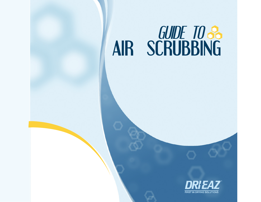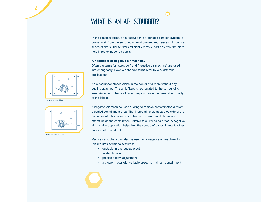# WHAT IS AN AIR SCRUBBER?

In the simplest terms, an air scrubber is a portable filtration system. It draws in air from the surrounding environment and passes it through a series of filters. These filters efficiently remove particles from the air to help improve indoor air quality.

n

### **Air scrubber or negative air machine?**

Often the terms "air scrubber" and "negative air machine" are used interchangeably. However, the two terms refer to very different applications.

An air scrubber stands alone in the center of a room without any ducting attached. The air it filters is recirculated to the surrounding area. An air scrubber application helps improve the general air quality of the jobsite.

A negative air machine uses ducting to remove contaminated air from a sealed containment area. The filtered air is exhausted outside of the containment. This creates negative air pressure (a slight vacuum effect) inside the containment relative to surrounding areas. A negative air machine application helps limit the spread of contaminants to other areas inside the structure.

Many air scrubbers can also be used as a negative air machine, but this requires additional features:

- ductable in and ductable out
- sealed housing
- precise airflow adjustment
- a blower motor with variable speed to maintain containment





regular air scrubber

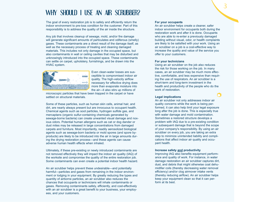# WHY SHOULD I USE AN AIR SCRUBBER?

The goal of every restoration job is to safely and efficiently return the indoor environment to pre-loss condition for the customer. Part of this responsibility is to address the quality of the air inside the structure.

Any job that involves cleanup of sewage, mold, and/or fire damage will generate significant amounts of particulates and odiferous (smelly) gases. These contaminants are a direct result of the damage itself, as well as the necessary process of treating and cleaning damaged materials. This includes not only damage in the occupied space, but also contaminants in wall or ceiling cavities that may be disturbed and unknowingly introduced into the occupied space. These contaminants can settle on carpet, upholstery, furnishings, and be drawn into the HVAC system.



Even clean-water losses are susceptible to compromised indoor air quality. The high-velocity airflow necessary for effective drying does more than evaporate moisture into the air—it also stirs up millions of

microscopic particles that have been trapped in the carpet or have settled on structural materials.

Some of these particles, such as human skin cells, animal hair, and dirt, are nearly always present but are innocuous to occupant health. Chemical agents such as soot particles, hydrogen sulfide gas, and mercaptans (organic sulfur-containing chemicals generated by sewage-borne bacteria) can create unwanted visual damage and noxious odors. Potential human allergens such as cat or dog dander or dust mites may be released in large concentrations from damaged carpets and furniture. Most importantly, readily aerosolized biological agents such as sewage-born bacteria or mold spores (and spore byproducts) are likely to be introduced into the air in large amounts during the drying restoration process—and these agents can cause adverse human health effects when inhaled.

Ultimately, if these pre-existing or newly introduced contaminants are not removed effectively they will impact the indoor air quality (IAQ) of the worksite and compromise the quality of the entire restoration job. Some contaminants can even create a potential indoor health hazard.

An air scrubber helps prevent these undesirable—and potentially harmful—particles and gases from remaining in the indoor environment or lodging in your equipment. By greatly reducing the types and quantity of airborne particles, an air scrubber also reduces the chances that occupants or technicians will inhale contaminants or gases. Removing contaminants safely, efficiently, and cost-effectively with an air scrubber is a great benefit to your business, your employees, and your customers.

#### **For your occupants**

An air scrubber helps create a cleaner, safer indoor environment for occupants both during the restoration work and after it is done. Occupants who are able to re-enter a previously damaged building without visual, odor, or health complaints are likely to be satisfied with your work. Using an air scrubber on a job is a cost-effective way to increase the quality and value of the service you offer to your customers.

#### **For your technicians**

Using an air scrubber on the job also reduces the risk for those working on the job. In many cases, an air scrubber may be much more effective, comfortable, and less expensive than requiring the use of respirators. An air scrubber is a short-term and long-term investment in the health and productivity of the people who do the work of restoration.

#### **Legal implications**

An air scrubber not only addresses indoor air quality concerns while the work is being performed, it can also help limit your legal exposure long after the job is done. This is especially true with water damage and mold contamination. Sometimes a restored structure develops a problem with IAQ due to a pre-existing condition or subsequent damage that is beyond the scope of your company's responsibility. By using an air scrubber on every job, you are taking an extra step to minimize unintended liability and complications that affect indoor air quality and occupant health.

#### **Increase safety and productivity**

Improving IAQ also benefits equipment performance and quality of work. For instance, in water damage restoration an air scrubber captures dirt, dust, and debris that might otherwise coat dehumidifier coils (thereby decreasing water removal efficiency) and/or clog airmover intake vents (thereby reducing airflow). An air scrubber helps keep your equipment clean so that it can perform at its best.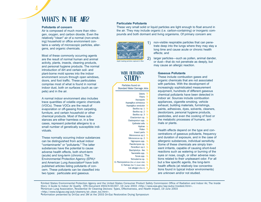# WHAT'S IN THE AIR?

### **Pollutants of concern**

Air is composed of much more than nitrogen, oxygen, and carbon dioxide. Even the relatively "clean" air of a normal (non-smoking) household or office environment contains a variety of microscopic particles, allergens, and organic chemicals.

Most of these commonly occurring agents are the result of normal human and animal activity, plants, insects, cleaning products, and personal hygiene products. The normal introduction of dirt and certain soil- and plant-borne mold spores into the indoor environment occurs through open windows, doors, and foot traffic. These particulates comprise most of what is found in normal indoor dust, both on surfaces (such as carpets) and in the air.

A normal indoor environment also includes trace quantities of volatile organic chemicals (VOCs). These VOCs are the result of evaporation or off-gassing from carpeting, furniture, and certain household or other chemical products. Most of these substances are either harmless or, in a few cases, represent potential allergens to a small number of genetically susceptible individuals.

These normally occurring indoor substances can be distinguished from actual indoor "contaminants" or "pollutants." The latter substances have the potential to cause adverse health effects, both short-term (acute) and long-term (chronic). The Environmental Protection Agency (EPA)**<sup>1</sup>** and American Lung Association**<sup>2</sup>** have both published articles listing pollutants of concern. These pollutants can be classified into two types: particulate and gaseous.

### **Particulate Pollutants**

These very small solid or liquid particles are light enough to float around in the air. They may include organic (i.e. carbon-containing) or inorganic compounds and both dormant and living organisms. Of primary concern are:



non-visible respirable particles that can penetrate deep into the lungs where they may stay a long time and cause acute or chronic health effects; and

larger particles—such as pollen, animal dander, or dust—that do not penetrate as deeply, but may cause an allergic reaction.

### **Gaseous Pollutants**

These include combustion gases and organic chemicals that are not associated with particles. With the development of increasingly sophisticated measurement equipment, hundreds of different gaseous chemical pollutants have been detected in indoor air. Sources include combustion appliances, cigarette smoking, vehicle exhaust, building materials, furnishings, paints, adhesives, dyes, solvents, cleaners, deodorizers, personal hygiene products, pesticides, and even the cooking of food or the metabolic processes of humans, animals or plants.

Health effects depend on the type and concentrations of gaseous pollutants, frequency and duration of exposure, and in the case of allergenic substances, individual sensitivity. Some of these chemicals are simply transient irritants, capable of causing short-lived reactions such as watering or burning of the eyes or nose, cough, or other adverse reactions related to their unpleasant odor. For all but a few specific agents, the long-term health effects (at relatively low concentrations found in typical indoor environments) are unknown and/or not studied.

1United States Environmental Protection Agency and the United States Consumer Product Safety Commission Office of Radiation and Indoor Air, The Inside Story: A Guide to Indoor Air Quality - EPA Document #402-K-93-007, 19 June 2003 <http://www.epa.gov/iaq/pubs/insidest.html>. 2American Lung Association, Residential Air Cleaning Devices: Types, Effectiveness, and Health Impact, 19 June 2003 <http://www.lungusa.org/pub/cleaners/air\_clean\_toc.html>.

D. Pter

3Information presented by Dri-Eaz and 3M at the 2003 Dri-Eaz Restorative Drying Symposium

WDR FILTRATION STUDY**<sup>3</sup>**

Particles found on Standard Water Damage Jobs

| Debris $\bigcirc$                 |         |
|-----------------------------------|---------|
| Fibers $\bigcirc$                 |         |
| Ascospore <b>O</b>                |         |
| Aspergillus ochraceus O           |         |
| Aspergillus versicolor            | Ó       |
| Bacillus sp. 1                    | ο       |
| Bacillus sp. 2                    | Ω       |
| Bacillus sp. 3                    | $\circ$ |
| Chactomium sp.                    | o       |
| Cladosporium spp. O               |         |
| Epithelial cells o                |         |
| Hyphae $\bigcirc$                 |         |
| Pollen <sub>O</sub>               |         |
| Insect parts O                    |         |
| Micrococcus sp.1                  | o       |
| Micrococcus sp. 2                 | $\circ$ |
| Nigrospora spp.                   | $\circ$ |
| Paecilomyces sp.                  | $\circ$ |
| Penicillium sp.1                  | $\circ$ |
| Stachybotrys - like O             |         |
| Taeniolella spp.                  | ി       |
| Torula spp. <b>O</b>              |         |
| Trichoderma sp. O                 |         |
| onysisinus (Der p I) (dust mite)  |         |
| D. Farinae (Der fl) (dust mite) O |         |
| Cat allergen (Fel d I)            | о       |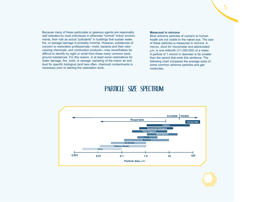Because many of these particulate or gaseous agents are reasonably well tolerated by most individuals in otherwise "normal" indoor environments, their role as actual "pollutants" in buildings that sustain water, fire, or sewage damage is probably minimal. However, substances of concern to restoration professionals—mold, bacteria and their odorcausing chemicals, and combustion products—may nevertheless be difficult to identify by sight or smell from these many common background substances. For this reason, in at least some restorations for water damage, fire, mold, or sewage, sampling of the indoor air and dust for specific biological (and less often, chemical) contaminants is necessary prior to starting the restoration work.

### **Measured in microns**

Most airborne particles of concern to human health are not visible to the naked eye. The size of these particles is measured in microns. A micron, short for micrometer and abbreviated  $µm$ , is one millionth (1/1,000,000) of a meter. A particle of 1 micron in diameter is far smaller than the period that ends this sentence. The following chart compares the average sizes of some common airborne particles and gas molecules.

# PARTICLE SIZE SPECTRUM

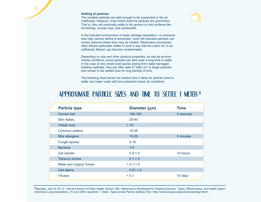#### **Settling of particles**

6

The smallest particles are light enough to be suspended in the air indefinitely. However, most indoor airborne particles are gravimetric. That is, they will eventually settle to the ground or onto surfaces like furnishings, counter tops, and windowsills.

In the turbulent environment of water damage restoration—or wherever else high-velocity airflow is employed—even the heaviest particles can remain airborne where they may be inhaled. Restoration procedures often disturb particulate matter in such a way that the indoor air, if not sufficiently filtered, can become contaminated.

Depending on size and other physical properties, as well as environmental conditions, some particles can take quite a long time to settle. In the case of very small mold spores arising from water-damaged building materials, they are often able to "latch on" to larger particles and remain in the settled dust for long periods of time.

The following chart shows the relative time it takes for particle sizes to settle one meter under still (non-turbulent) indoor air conditions.

# APPROXIMATE PARTICLE SIZES AND TIME TO SETTLE 1 METER **<sup>3</sup>**

| <b>Particle type</b>    | Diameter (µm) | <b>Time</b> |
|-------------------------|---------------|-------------|
| Human hair              | 100-150       | 5 seconds   |
| <b>Skin flakes</b>      | $20 - 40$     |             |
| Visible dust            | > 10          |             |
| Common pollens          | $15 - 25$     |             |
| Mite allergens          | $10 - 20$     | 5 minutes   |
| <b>Fungal spores</b>    | $2 - 10$      |             |
| <b>Bacteria</b>         | $1-5$         |             |
| Cat dander              | $0.5 - 1.5$   | 10 hours    |
| Tobacco smoke           | $0.1 - 1.0$   |             |
| Metal and organic fumes | $< 0.1 - 1.0$ |             |
| Cell debris             | $0.01 - 1.0$  |             |
| <b>Viruses</b>          | < 0.1         | 10 days     |

**<sup>3</sup>**Spengler, John D, Ph. D., Harvard School of Public Health, Boston, MA; referenced in Residential Air Cleaning Devices: Types, Effectiveness, and Health Impact (American Lung Association), 19 June 2003, Appendix 1: Table - Approximate Particle Settling Time <http://www.lungusa.org/pub/cleaners/fig2.html>.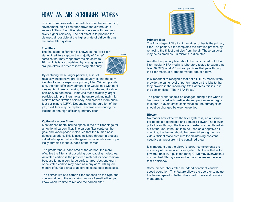# HOW AN AIR SCRUBBER WORKS

In order to remove airborne particles from the surrounding environment, an air scrubber draws the air through a series of filters. Each filter stage operates with progressively higher efficiency. The net effect is to produce the cleanest air possible at the highest rate of airflow through the entire filter system.

#### **Pre-filters**

The first stage of filtration is known as the "pre-filter"

stage. Pre-filters capture the majority of "larger" particles that may range from visible down to  $10 \mu$ m. This is accomplished by arranging several pre-filters in order of increasing efficiency.



pre-filter

By capturing these larger particles, a set of

relatively inexpensive pre-filters actually extend the service life of a more expensive primary filter. Without pre-filters, the high-efficiency primary filter would load with particles earlier, thereby causing the airflow rate and filtration efficiency to decrease. Removing these relatively larger particles with pre-filters helps the entire unit maintain high airflow, better filtration efficiency, and process more cubic feet per minute (CFM). Depending on the duration of the job, pre-filters may be replaced several times during the lifetime of one high-efficiency primary filter.

### **Optional carbon filters**

Most air scrubbers include space in the pre-filter stage for an optional carbon filter. The carbon filter captures the gas- and vapor-phase molecules that the human nose detects as odors. This is accomplished through a process called adsorption, where the gaseous molecules are physically attracted to the surface of the carbon.

The greater the surface area of the carbon, the more effective the filter is at adsorbing odor-causing molecules. Activated carbon is the preferred material for odor removal because it has a very large surface area. Just one gram of activated carbon may have as many as 2,000 square meters of surface area to adsorb gaseous odor molecules.

The service life of a carbon filter depends on the type and concentration of the odor. Your sense of smell will let you know when it's time to replace the carbon filter.



7

#### **Primary filter**

The final stage of filtration in an air scrubber is the primary filter. The primary filter completes the filtration process by removing the tiniest particles from the air. These particles may be as small as 0.3 microns in diameter.

An effective primary filter should be constructed of HEPA filter media. HEPA media is laboratory-tested to capture at least 99.97% of all 0.3-micron particles that pass through the filter media at a predetermined rate of airflow.

It is important to recognize that not all HEPA-media filters provide the same level of performance on the jobsite that they provide in the laboratory. We'll address this issue in the section titled, "The HEPA Facts."

The primary filter should be changed during a job when it becomes loaded with particulate and performance begins to suffer. To avoid cross-contamination, the primary filter should be changed between every job.

### **Blower**

No matter how effective the filter system is, an air scrubber needs a dependable and versatile blower. The blower pulls the air through the filters and exhausts the filtered air out of the unit. If the unit is to be used as a negative air machine, the blower should be powerful enough to provide sufficient static pressure for maintaining constant negative air pressure in the contained area.

It is important that the blower's power complements the efficiency of the installed filter system. A blower that is too powerful (that is, it pulls too many CFM) may overwhelm a mismatched filter system and actually decrease the system's efficiency.

Some air scrubbers offer the added benefit of variable speed operation. This feature allows the operator to adjust the blower speed to better filter small rooms and containment areas.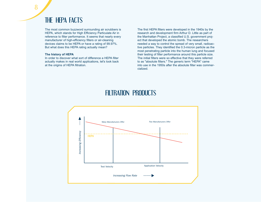# THE HEPA FACTS

The most common buzzword surrounding air scrubbers is HEPA, which stands for High Efficiency Particulate Air in reference to filter performance. It seems that nearly every manufacturer of high-efficiency filters or air-cleaning devices claims to be HEPA or have a rating of 99.97%. But what does this HEPA rating actually mean?

### **The history of HEPA**

In order to discover what sort of difference a HEPA filter actually makes in real world applications, let's look back at the origins of HEPA filtration.

The first HEPA filters were developed in the 1940s by the research and development firm Arthur D. Little as part of the Manhattan Project, a classified U.S. government project that developed the atomic bomb. The researchers needed a way to control the spread of very small, radioactive particles. They identified the 0.3-micron particle as the most penetrating particle into the human lung and focused their testing of filter performance around this particle size. The initial filters were so effective that they were referred to as "absolute filters." The generic term "HEPA" came into use in the 1950s after the absolute filter was commercialized.

# FILTRATION PRODUCTS

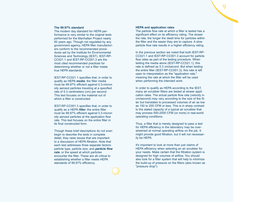#### **The 99.97% standard**

The modern day standard for HEPA performance is very similar to the original tests performed for the Manhattan Project nearly 60 years ago. Though not regulated by any government agency, HEPA filter manufacturers conform to the recommended procedures set by the Institute for Environmental Sciences and Technology (IEST). IEST-RP-CC021.1 and IEST-RP-CC001.3 are the most cited recommended practices for determining whether or not a filter meets true HEPA standards.

IEST-RP-CC021.1 specifies that, in order to qualify as HEPA *media*, the filter media must be 99.97% efficient against 0.3-micron oily aerosol particles traveling at a specified rate of 5.3 centimeters (cm) per second. This test focuses on the material out of which a filter is constructed.

IEST-RP-CC001.3 specifies that, in order to qualify as a HEPA *filter*, the entire filter must be 99.97% efficient against 0.3-micron oily aerosol particles at the application flow rate. This test focuses on the entire filter in its final constructed form.

Though these brief descriptions do not even begin to describe the tests in complete detail, they raise issues that are important to a discussion of HEPA filtration. Note that each test addresses three separate factors: particle type, particle size, and *particle flow rate*, or the speed at which particles encounter the filter. These are all critical to establishing whether a filter meets HEPA standards of 99.97% efficiency.

#### **HEPA and application rates**

The particle flow rate at which a filter is tested has a significant effect on its efficiency rating. The slower the rate, the longer the dwell time for particles within the filter and the easier they are to capture. A slow particle flow rate results in a higher efficiency rating.

In the previous section we noted that both IEST-RP-CC021.1 and IEST-RP-CC001.3 account for particle flow rates as part of the testing procedure. When testing the media alone (IEST-RP-CC021.1), this rate is defined as 5.3 cm/second. But when testing the entire filter (IEST-RP-CC001.3), this rate is left open to interpretation as the "application rate," meaning the rate at which the filter will be used when performing the intended work.

In order to qualify as HEPA according to the IEST, many air scrubber filters are tested at slower application rates. The actual particle flow rate (velocity in cm/second) may vary according to the size of the filter but translates to processed volumes of air as low as 150 to 200 CFM or less. This is in sharp contrast to the stated capacity of a typical air scrubber that may process 500-2000 CFM (or more) in real-world operating conditions.

Thus, a filter that is merely designed to pass a test for HEPA efficiency in the laboratory may be overwhelmed at normal operating airflow on the job. It might provide good filtration, but it will not necessarily be HEPA.

It's important to look at more than just claims of HEPA efficiency when selecting an air scrubber for your needs. Make certain that the filtration system is designed for high volumes of airflow. You should also look for a filter system that will help to minimize the build-up of pressure on the filters (also known as "pressure drop").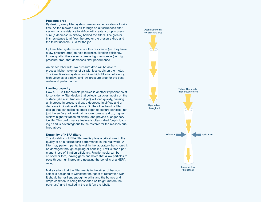### **Pressure drop**

10

By design, every filter system creates some resistance to airflow. As the blower pulls air through an air scrubber's filter system, any resistance to airflow will create a drop in pressure (a decrease in airflow) behind the filters. The greater this resistance to airflow, the greater the pressure drop and the fewer useable CFM for the job.

Optimal filter systems minimize this resistance (i.e. they have a low pressure drop) to help maximize filtration efficiency. Lower quality filter systems create high resistance (i.e. high pressure drop) that decreases filter performance.

An air scrubber with low pressure drop will be able to process higher volumes of air with less strain on the motor. The ideal filtration system combines high filtration efficiency, high volumes of airflow, and low pressure drop for the best real-world performance.

#### **Loading capacity**

How a HEPA filter collects particles is another important point to consider. A filter design that collects particles mostly on the surface (like a lint trap on a dryer) will load quickly, causing an increase in pressure drop, a decrease in airflow and a decrease in filtration efficiency. On the other hand, a filter design that can utilize its entire depth to capture particles, not just the surface, will maintain a lower pressure drop, higher airflow, higher filtration efficiency, and provide a longer service life. This performance feature is often called "depth loading," and is advantageous to the restorer for the reasons outlined above.

#### **Durability of HEPA filters**

The durability of HEPA filter media plays a critical role in the quality of an air scrubber's performance in the real world. A filter may perform perfectly well in the laboratory, but should it be damaged through shipping or handling, it will suffer a permanent loss of filtration efficiency. Fragile media can be crushed or torn, leaving gaps and holes that allow particles to pass through unfiltered and negating the benefits of a HEPA rating.

Make certain that the filter media in the air scrubber you select is designed to withstand the rigors of restoration work. It should be resilient enough to withstand the bumps and drops common to being transported as freight (before the purchase) and installed in the unit (on the jobsite).

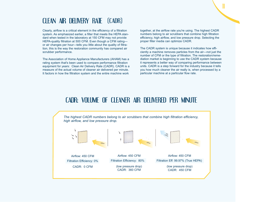# CLEAN AIR DELIVERY RATE (CADR)

Clearly, airflow is a critical element in the efficiency of a filtration system. As emphasized earlier, a filter that meets the HEPA standard when tested in the laboratory at 150 CFM may not provide HEPA-quality filtration at 500 CFM. Even though a CFM rating or air changes per hour—tells you little about the quality of filtration, this is the way the restoration community has compared air scrubber performance.

The Association of Home Appliance Manufacturers (AHAM) has a rating system that's been used to compare performance filtration equipment for years: Clean Air Delivery Rate (CADR). CADR is a measure of the actual volume of cleaner air delivered per minute. It factors in how the filtration system and the entire machine work

together, at the airflow rate you're using. The highest CADR numbers belong to air scrubbers that combine high filtration efficiency, high airflow, and low pressure drop. Selecting the proper filter media can optimize CADR.

The CADR system is unique because it indicates how efficiently a machine removes particles from the air—not just the number of CFM or the type of filtration. The restoration/remediation market is beginning to use the CADR system because it represents a better way of comparing performance between units. CADR is a step forward for the industry because it tells you how much cleaner the air really is, when processed by a particular machine at a particular flow rate.

# CADR: VOLUME OF CLEANER AIR DELIVERED PER MINUTE

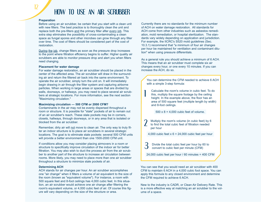# HOW TO USE AN AIR SCRUBBER

### **Preparation**

Before using an air scrubber, be certain that you start with a clean unit with new filters. The best practice is to thoroughly clean the unit and replace both the pre-filters and the primary filter after every job. This extra step eliminates the possibility of cross-contaminating a clean space as fungal spores and other microbes can grow through any filter over time. The cost of filters should be considered part of the cost of restoration.

During the job, change filters as soon as the pressure drop increases to the point where filtration efficiency begins to suffer. Higher quality air scrubbers are able to monitor pressure drop and alert you when filters need changing.

### **Placement for water damage**

For water damage restoration, an air scrubber should be placed in the center of the affected area. The air scrubber will draw in the surrounding air and return the filtered air back into the same environment. To operate the air scrubber, simply turn the unit on. It will immediately begin drawing in air through the filter system and capturing airborne particles. When working in large areas or spaces that are divided by walls, doorways, or hallways, you may need to place several air scrubbers at strategic locations. For more information, see the next section "Maximizing circulation."

### **Maximizing circulation — 500 CFM or 2000 CFM?**

Contaminants in the air may not be evenly dispersed throughout a room or structure. It is possible for "stale" pockets of air to remain out of an air scrubber's reach. These stale pockets may be in corners, closets, hallways, through doorways, or in any area that is isolated or blocked from the air scrubber.

Remember, dirty air will not move to clean air. The only way to truly filter an indoor structure is to place air scrubbers in several strategic locations. The goal is to eliminate stale pockets: several 500 CFM units will provide a better environment than one 1500-2000 CFM unit.

If conditions allow you may consider placing airmovers in a room or structure to specifically improve circulation of the indoor air for better filtration. You may also wish to duct the process air from the air scrubber to another part of the structure to increase air circulation between rooms. More likely, you may need to place more than one air scrubber throughout a structure to minimize stale pockets of air.

### **Determining ACH**

ACH stands for air changes per hour. An air scrubber accomplishes one "air change" when it filters a volume of air equivalent to the size of the room (known as "equivalent volume"). For instance, a room with 500 square feet and 8-foot ceilings has 4,000 cubic feet. In this situation, an air scrubber would achieve one air change after filtering the room's equivalent volume, or 4,000 cubic feet of air. Of course this figure will vary depending on the size of the structure or area.

Currently there are no standards for the minimum number of ACH on water damage restoration. All standards for ACH come from other industries such as asbestos remediation, mold remediation, or hospital sterilization. The standards vary widely depending on application and jurisdiction. For example, the IICRC's S520 mold guidelines (Sec. 10.3.1) recommend that "a minimum of four air changes per hour be maintained for ventilation and contaminant dilution" when using pressure differentials.

As a general rule you should achieve a minimum of 6 ACH. This means that an air scrubber must complete six air changes every hour, or one every 10 minutes. If you can increase the ACH, do so.

You can determine the CFM needed to achieve 6 ACH with a simple 3-step formula:

Calculate the room's volume in cubic feet. To do this, multiply the square footage by the ceiling height. In the example above, the floor has an area of 500 square feet (multiple length by width) and 8-foot ceilings.

 $500 \times 8 = 4,000$  cubic feet of volume.

|<br>|

Multiply the room's volume (in cubic feet) by 6 to find the total cubic feet of filtration needed per hour 2

4,000 cubic feet  $x 6 = 24,000$  cubic feet per hour

Divide the total cubic feet per hour by 60 to convert to cubic feet per minute (CFM) 3

24,000 cubic feet per hour / 60 minutes = 400 CFM

You can see that you would need an air scrubber with 400 CFM to maintain 6 ACH in a 4,000 cubic foot space. You can apply this formula to any closed environment and determine the CFM required to achieve 6 ACH.

New to the industry is CADR, or Clean Air Delivery Rate. This is a more effective way at matching an air scrubber to the volume of a space.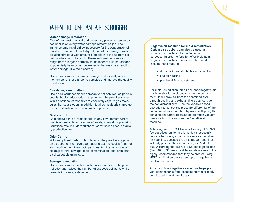## WHEN TO USE AN AIR SCRUBBER

#### **Water damage restoration**

One of the most practical and necessary places to use an air scrubber is on every water damage restoration job. The immense amount of airflow necessary for the evaporation of moisture from carpet, pad, drywall and other damaged materials also stirs up a vast amount of debris into the air from carpet, furniture, and ductwork. These airborne particles can range from allergens normally found indoors (like pet dander) to potentially hazardous contaminants that may be a result of water damage (like mold spores).

Use an air scrubber on water damage to drastically reduce the number of these airborne particles and improve the quality of indoor air.

#### **Fire damage restoration**

Use an air scrubber on fire damage to not only reduce particle counts, but to reduce odors. Supplement the pre-filter stages with an optional carbon filter to effectively capture gas molecules that cause odors in addition to airborne debris stirred up by the restoration and reconstruction process.

#### **Dust control**

An air scrubber is a valuable tool in any environment where dust is undesirable for reasons of safety, comfort, or precision. Situations may include workshops, construction sites, or factory production lines.

#### **Odor Control**

With an optional carbon filter placed in the pre-filter stage, an air scrubber can remove odor-causing gas molecules from the air in addition to microscopic particles. Applications include cleanup for fire, sewage, mold contamination, and even standard carpet cleaning jobs.

#### **Sewage remediation**

Use an air scrubber with an optional carbon filter to help control odor and reduce the number of gaseous pollutants while remediating sewage damage.

**Negative air machine for mold remediation** Certain air scrubbers can also be used as negative air machines for containment purposes. In order to function effectively as a negative air machine, an air scrubber must include these features:

- ductable in and ductable out capability
- sealed housing
- precise airflow adjustment

For mold remediation, an air scrubber/negative air machine should be placed outside the containment. It will draw air from the contained area through ducting and exhaust filtered air outside the containment area. Use the variable speed operation to control the pressure differential of the containment area and thereby avoid collapsing the containment barrier because of too much vacuum pressure from the air scrubber/negative air machine.

Achieving true HEPA filtration efficiency of 99.97% (as described earlier in this guide) is especially critical when using an air scrubber as a negative air machine, because the air scrubber (and filter) will only process the air one time, as it's ducted out. According the IICRC's S520 mold guidelines (Sec. 10.3), "If pressure differentials are used, it is highly recommended that they be created using HEPA air filtration devices set up as negative or positive air machines."

An air scrubber/negative air machine helps prevent contaminants from escaping from a properly constructed containment area.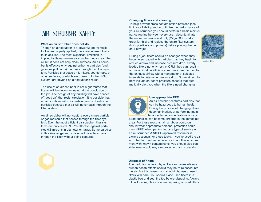# AIR SCRUBBER SAFETY

#### **What an air scrubber does not do**

14

Though an air scrubber is a powerful and versatile tool when properly applied, there are inherent limits to its abilities. The most significant limitation is implied by its name—an air scrubber helps clean the air but it does not help clean surfaces. An air scrubber is effective only against airborne particles (and gaseous pollutants) that pass through the filter system. Particles that settle on furniture, countertops, or other surfaces, or which are drawn in to the HVAC system, are beyond an air scrubber's reach.

The use of an air scrubber is not a guarantee that the air will be decontaminated at the conclusion of the job. The design of any building will have spaces of "dead air" that resist circulation. It is possible that an air scrubber will miss certain groups of airborne particles because that air will never pass through the filter system.

An air scrubber will not capture every single particle or gas molecule that passes through the filter system. Even the most efficient air scrubber filter systems are only rated 99.97% effective against particles 0.3 microns in diameter or larger. Some particles in this size range and smaller will be able to pass through the filter without being captured.

### **Changing filters and cleaning**

To help prevent cross-contamination between jobs, limit your liability, and to optimize the performance of your air scrubber, you should perform a basic maintenance routine between every use: decontaminate the entire unit inside and out, (Milgo QGC works great for this) and replace the entire filter system (both pre-filters and primary) before placing the unit on a new job.



Loaded filte

During a job, filters should be changed when they become so loaded with particles that they begin to reduce airflow and increase pressure drop. Overly loaded filters not only restrict CFM, they can result in a loss of filtration efficiency. You may need to monitor the exhaust airflow with a manometer at selected intervals to determine pressure drop. Some air scrubbers include on-board pressure sensors that automatically alert you when the filters need changing.



#### **Use appropriate PPE**

An air scrubber captures particles that can be hazardous to human health. During the process of changing filters, decontamination, or performing maintenance, large concentrations of cap-

tured particles can become airborne in the immediate area. For these reasons, air scrubber operators should wear appropriate personal protection equipment (PPE) when performing any type of service on an air scrubber. A NIOSH-approved respirator is always essential for these tasks. If you've used the air scrubber for mold remediation or in another environment with known contaminants, you should also consider wearing gloves, eye protection, and coveralls.

#### **Disposal of filters**

The particles captured by a filter can cause adverse human health effects should they be re-released into the air. For this reason, you should dispose of used filters with care. You should place used filters in a plastic bag and seal the top before disposing. Always follow local regulations when disposing of used filters.